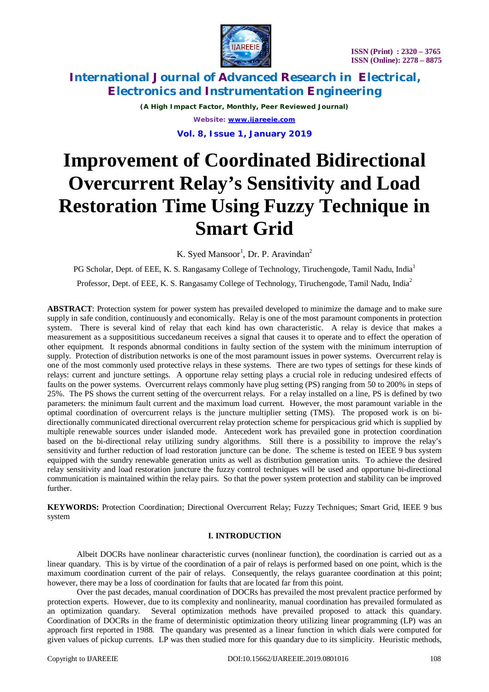

*(A High Impact Factor, Monthly, Peer Reviewed Journal) Website: [www.ijareeie.com](http://www.ijareeie.com)*

**Vol. 8, Issue 1, January 2019**

# **Improvement of Coordinated Bidirectional Overcurrent Relay's Sensitivity and Load Restoration Time Using Fuzzy Technique in Smart Grid**

K. Syed Mansoor<sup>1</sup>, Dr. P. Aravindan<sup>2</sup>

PG Scholar, Dept. of EEE, K. S. Rangasamy College of Technology, Tiruchengode, Tamil Nadu, India<sup>1</sup> Professor, Dept. of EEE, K. S. Rangasamy College of Technology, Tiruchengode, Tamil Nadu, India<sup>2</sup>

**ABSTRACT**: Protection system for power system has prevailed developed to minimize the damage and to make sure supply in safe condition, continuously and economically. Relay is one of the most paramount components in protection system. There is several kind of relay that each kind has own characteristic. A relay is device that makes a measurement as a supposititious succedaneum receives a signal that causes it to operate and to effect the operation of other equipment. It responds abnormal conditions in faulty section of the system with the minimum interruption of supply. Protection of distribution networks is one of the most paramount issues in power systems. Overcurrent relay is one of the most commonly used protective relays in these systems. There are two types of settings for these kinds of relays: current and juncture settings. A opportune relay setting plays a crucial role in reducing undesired effects of faults on the power systems. Overcurrent relays commonly have plug setting (PS) ranging from 50 to 200% in steps of 25%. The PS shows the current setting of the overcurrent relays. For a relay installed on a line, PS is defined by two parameters: the minimum fault current and the maximum load current. However, the most paramount variable in the optimal coordination of overcurrent relays is the juncture multiplier setting (TMS). The proposed work is on bidirectionally communicated directional overcurrent relay protection scheme for perspicacious grid which is supplied by multiple renewable sources under islanded mode. Antecedent work has prevailed gone in protection coordination based on the bi-directional relay utilizing sundry algorithms. Still there is a possibility to improve the relay's sensitivity and further reduction of load restoration juncture can be done. The scheme is tested on IEEE 9 bus system equipped with the sundry renewable generation units as well as distribution generation units. To achieve the desired relay sensitivity and load restoration juncture the fuzzy control techniques will be used and opportune bi-directional communication is maintained within the relay pairs. So that the power system protection and stability can be improved further.

**KEYWORDS:** Protection Coordination; Directional Overcurrent Relay; Fuzzy Techniques; Smart Grid, IEEE 9 bus system

### **I. INTRODUCTION**

Albeit DOCRs have nonlinear characteristic curves (nonlinear function), the coordination is carried out as a linear quandary. This is by virtue of the coordination of a pair of relays is performed based on one point, which is the maximum coordination current of the pair of relays. Consequently, the relays guarantee coordination at this point; however, there may be a loss of coordination for faults that are located far from this point.

Over the past decades, manual coordination of DOCRs has prevailed the most prevalent practice performed by protection experts. However, due to its complexity and nonlinearity, manual coordination has prevailed formulated as an optimization quandary. Several optimization methods have prevailed proposed to attack this quandary. Coordination of DOCRs in the frame of deterministic optimization theory utilizing linear programming (LP) was an approach first reported in 1988. The quandary was presented as a linear function in which dials were computed for given values of pickup currents. LP was then studied more for this quandary due to its simplicity. Heuristic methods,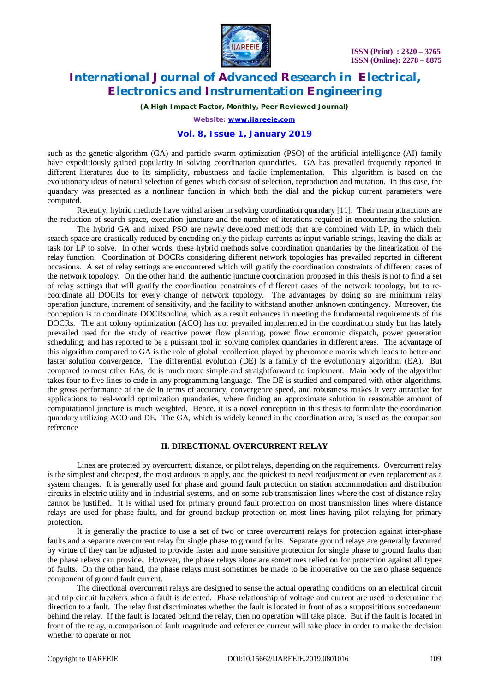

*(A High Impact Factor, Monthly, Peer Reviewed Journal)*

*Website: [www.ijareeie.com](http://www.ijareeie.com)*

### **Vol. 8, Issue 1, January 2019**

such as the genetic algorithm (GA) and particle swarm optimization (PSO) of the artificial intelligence (AI) family have expeditiously gained popularity in solving coordination quandaries. GA has prevailed frequently reported in different literatures due to its simplicity, robustness and facile implementation. This algorithm is based on the evolutionary ideas of natural selection of genes which consist of selection, reproduction and mutation. In this case, the quandary was presented as a nonlinear function in which both the dial and the pickup current parameters were computed.

Recently, hybrid methods have withal arisen in solving coordination quandary [11]. Their main attractions are the reduction of search space, execution juncture and the number of iterations required in encountering the solution.

The hybrid GA and mixed PSO are newly developed methods that are combined with LP, in which their search space are drastically reduced by encoding only the pickup currents as input variable strings, leaving the dials as task for LP to solve. In other words, these hybrid methods solve coordination quandaries by the linearization of the relay function. Coordination of DOCRs considering different network topologies has prevailed reported in different occasions. A set of relay settings are encountered which will gratify the coordination constraints of different cases of the network topology. On the other hand, the authentic juncture coordination proposed in this thesis is not to find a set of relay settings that will gratify the coordination constraints of different cases of the network topology, but to recoordinate all DOCRs for every change of network topology. The advantages by doing so are minimum relay operation juncture, increment of sensitivity, and the facility to withstand another unknown contingency. Moreover, the conception is to coordinate DOCRsonline, which as a result enhances in meeting the fundamental requirements of the DOCRs. The ant colony optimization (ACO) has not prevailed implemented in the coordination study but has lately prevailed used for the study of reactive power flow planning, power flow economic dispatch, power generation scheduling, and has reported to be a puissant tool in solving complex quandaries in different areas. The advantage of this algorithm compared to GA is the role of global recollection played by pheromone matrix which leads to better and faster solution convergence. The differential evolution (DE) is a family of the evolutionary algorithm (EA). But compared to most other EAs, de is much more simple and straightforward to implement. Main body of the algorithm takes four to five lines to code in any programming language. The DE is studied and compared with other algorithms, the gross performance of the de in terms of accuracy, convergence speed, and robustness makes it very attractive for applications to real-world optimization quandaries, where finding an approximate solution in reasonable amount of computational juncture is much weighted. Hence, it is a novel conception in this thesis to formulate the coordination quandary utilizing ACO and DE. The GA, which is widely kenned in the coordination area, is used as the comparison reference

### **II. DIRECTIONAL OVERCURRENT RELAY**

Lines are protected by overcurrent, distance, or pilot relays, depending on the requirements. Overcurrent relay is the simplest and cheapest, the most arduous to apply, and the quickest to need readjustment or even replacement as a system changes. It is generally used for phase and ground fault protection on station accommodation and distribution circuits in electric utility and in industrial systems, and on some sub transmission lines where the cost of distance relay cannot be justified. It is withal used for primary ground fault protection on most transmission lines where distance relays are used for phase faults, and for ground backup protection on most lines having pilot relaying for primary protection.

It is generally the practice to use a set of two or three overcurrent relays for protection against inter-phase faults and a separate overcurrent relay for single phase to ground faults. Separate ground relays are generally favoured by virtue of they can be adjusted to provide faster and more sensitive protection for single phase to ground faults than the phase relays can provide. However, the phase relays alone are sometimes relied on for protection against all types of faults. On the other hand, the phase relays must sometimes be made to be inoperative on the zero phase sequence component of ground fault current.

The directional overcurrent relays are designed to sense the actual operating conditions on an electrical circuit and trip circuit breakers when a fault is detected. Phase relationship of voltage and current are used to determine the direction to a fault. The relay first discriminates whether the fault is located in front of as a supposititious succedaneum behind the relay. If the fault is located behind the relay, then no operation will take place. But if the fault is located in front of the relay, a comparison of fault magnitude and reference current will take place in order to make the decision whether to operate or not.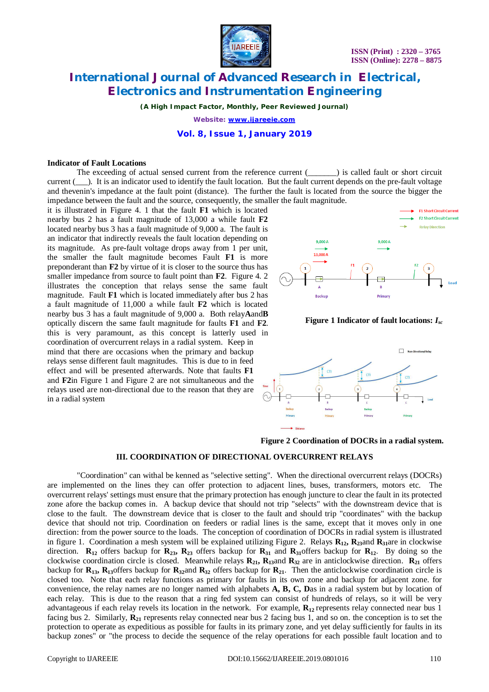

*(A High Impact Factor, Monthly, Peer Reviewed Journal)*

*Website: [www.ijareeie.com](http://www.ijareeie.com)*

#### **Vol. 8, Issue 1, January 2019**

#### **Indicator of Fault Locations**

The exceeding of actual sensed current from the reference current (\_\_\_\_\_\_) is called fault or short circuit current (). It is an indicator used to identify the fault location. But the fault current depends on the pre-fault voltage and thevenin's impedance at the fault point (distance). The further the fault is located from the source the bigger the impedance between the fault and the source, consequently, the smaller the fault magnitude.

it is illustrated in Figure 4. 1 that the fault **F1** which is located nearby bus 2 has a fault magnitude of 13,000 a while fault **F2** located nearby bus 3 has a fault magnitude of 9,000 a. The fault is an indicator that indirectly reveals the fault location depending on its magnitude. As pre-fault voltage drops away from 1 per unit, the smaller the fault magnitude becomes Fault **F1** is more preponderant than **F2** by virtue of it is closer to the source thus has smaller impedance from source to fault point than **F2**. Figure 4. 2 illustrates the conception that relays sense the same fault magnitude. Fault **F1** which is located immediately after bus 2 has a fault magnitude of 11,000 a while fault **F2** which is located nearby bus 3 has a fault magnitude of 9,000 a. Both relay**A**and**B** optically discern the same fault magnitude for faults **F1** and **F2**. this is very paramount, as this concept is latterly used in coordination of overcurrent relays in a radial system. Keep in mind that there are occasions when the primary and backup relays sense different fault magnitudes. This is due to in feed effect and will be presented afterwards. Note that faults **F1** and **F2**in Figure 1 and Figure 2 are not simultaneous and the relays used are non-directional due to the reason that they are in a radial system



**Figure 1 Indicator of fault locations:** *Isc*



**Figure 2 Coordination of DOCRs in a radial system.**

#### **III. COORDINATION OF DIRECTIONAL OVERCURRENT RELAYS**

"Coordination" can withal be kenned as "selective setting". When the directional overcurrent relays (DOCRs) are implemented on the lines they can offer protection to adjacent lines, buses, transformers, motors etc. The overcurrent relays' settings must ensure that the primary protection has enough juncture to clear the fault in its protected zone afore the backup comes in. A backup device that should not trip "selects" with the downstream device that is close to the fault. The downstream device that is closer to the fault and should trip "coordinates" with the backup device that should not trip. Coordination on feeders or radial lines is the same, except that it moves only in one direction: from the power source to the loads. The conception of coordination of DOCRs in radial system is illustrated in figure 1. Coordination a mesh system will be explained utilizing Figure 2. Relays  $\mathbf{R}_{12}$ ,  $\mathbf{R}_{23}$  and  $\mathbf{R}_{31}$ are in clockwise direction. **R**<sub>12</sub> offers backup for **R**<sub>23</sub>, **R**<sub>23</sub> offers backup for **R**<sub>31</sub> and **R**<sub>31</sub>offers backup for **R**<sub>12</sub>. By doing so the clockwise coordination circle is closed. Meanwhile relays **R21, R13**and **R<sup>32</sup>** are in anticlockwise direction. **R<sup>21</sup>** offers backup for  $\mathbf{R}_{13}$ ,  $\mathbf{R}_{13}$ offers backup for  $\mathbf{R}_{32}$  offers backup for  $\mathbf{R}_{21}$ . Then the anticlockwise coordination circle is closed too. Note that each relay functions as primary for faults in its own zone and backup for adjacent zone. for convenience, the relay names are no longer named with alphabets **A, B, C, D**as in a radial system but by location of each relay. This is due to the reason that a ring fed system can consist of hundreds of relays, so it will be very advantageous if each relay revels its location in the network. For example,  $\mathbf{R}_{12}$  represents relay connected near bus 1 facing bus 2. Similarly, **R<sup>21</sup>** represents relay connected near bus 2 facing bus 1, and so on. the conception is to set the protection to operate as expeditious as possible for faults in its primary zone, and yet delay sufficiently for faults in its backup zones" or "the process to decide the sequence of the relay operations for each possible fault location and to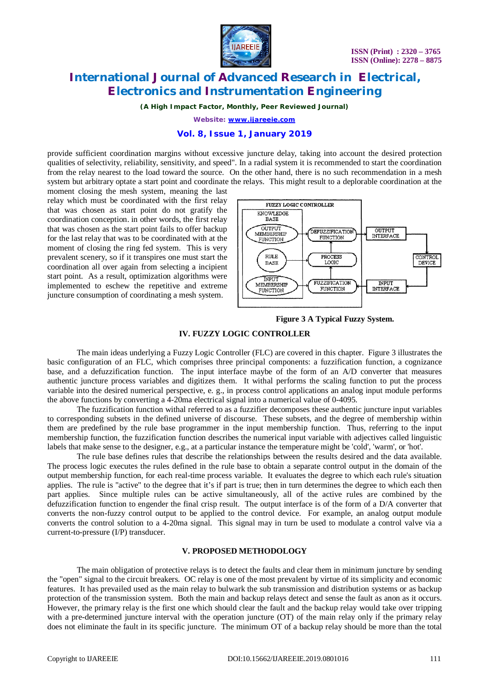

*(A High Impact Factor, Monthly, Peer Reviewed Journal)*

*Website: [www.ijareeie.com](http://www.ijareeie.com)*

### **Vol. 8, Issue 1, January 2019**

provide sufficient coordination margins without excessive juncture delay, taking into account the desired protection qualities of selectivity, reliability, sensitivity, and speed". In a radial system it is recommended to start the coordination from the relay nearest to the load toward the source. On the other hand, there is no such recommendation in a mesh system but arbitrary optate a start point and coordinate the relays. This might result to a deplorable coordination at the

moment closing the mesh system, meaning the last relay which must be coordinated with the first relay that was chosen as start point do not gratify the coordination conception. in other words, the first relay that was chosen as the start point fails to offer backup for the last relay that was to be coordinated with at the moment of closing the ring fed system. This is very prevalent scenery, so if it transpires one must start the coordination all over again from selecting a incipient start point. As a result, optimization algorithms were implemented to eschew the repetitive and extreme juncture consumption of coordinating a mesh system.



**Figure 3 A Typical Fuzzy System.**

#### **IV. FUZZY LOGIC CONTROLLER**

The main ideas underlying a Fuzzy Logic Controller (FLC) are covered in this chapter. Figure 3 illustrates the basic configuration of an FLC, which comprises three principal components: a fuzzification function, a cognizance base, and a defuzzification function. The input interface maybe of the form of an A/D converter that measures authentic juncture process variables and digitizes them. It withal performs the scaling function to put the process variable into the desired numerical perspective, e. g., in process control applications an analog input module performs the above functions by converting a 4-20ma electrical signal into a numerical value of 0-4095.

The fuzzification function withal referred to as a fuzzifier decomposes these authentic juncture input variables to corresponding subsets in the defined universe of discourse. These subsets, and the degree of membership within them are predefined by the rule base programmer in the input membership function. Thus, referring to the input membership function, the fuzzification function describes the numerical input variable with adjectives called linguistic labels that make sense to the designer, e.g., at a particular instance the temperature might be 'cold', 'warm', or 'hot'.

The rule base defines rules that describe the relationships between the results desired and the data available. The process logic executes the rules defined in the rule base to obtain a separate control output in the domain of the output membership function, for each real-time process variable. It evaluates the degree to which each rule's situation applies. The rule is "active" to the degree that it's if part is true; then in turn determines the degree to which each then part applies. Since multiple rules can be active simultaneously, all of the active rules are combined by the defuzzification function to engender the final crisp result. The output interface is of the form of a D/A converter that converts the non-fuzzy control output to be applied to the control device. For example, an analog output module converts the control solution to a 4-20ma signal. This signal may in turn be used to modulate a control valve via a current-to-pressure (I/P) transducer.

#### **V. PROPOSED METHODOLOGY**

The main obligation of protective relays is to detect the faults and clear them in minimum juncture by sending the "open" signal to the circuit breakers. OC relay is one of the most prevalent by virtue of its simplicity and economic features. It has prevailed used as the main relay to bulwark the sub transmission and distribution systems or as backup protection of the transmission system. Both the main and backup relays detect and sense the fault as anon as it occurs. However, the primary relay is the first one which should clear the fault and the backup relay would take over tripping with a pre-determined juncture interval with the operation juncture (OT) of the main relay only if the primary relay does not eliminate the fault in its specific juncture. The minimum OT of a backup relay should be more than the total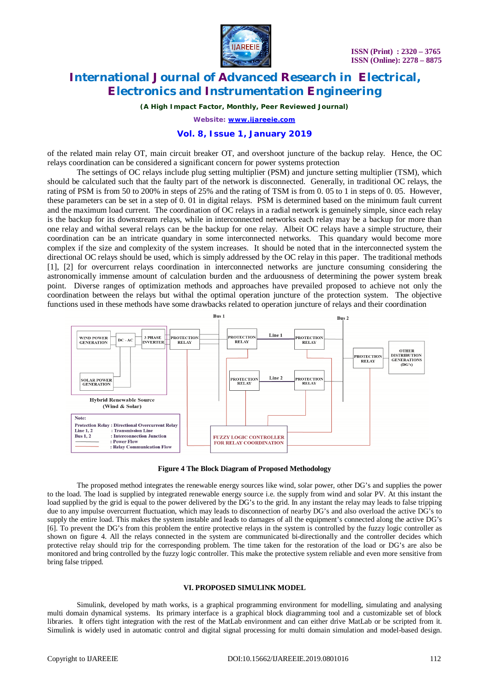

*(A High Impact Factor, Monthly, Peer Reviewed Journal)*

*Website: [www.ijareeie.com](http://www.ijareeie.com)*

#### **Vol. 8, Issue 1, January 2019**

of the related main relay OT, main circuit breaker OT, and overshoot juncture of the backup relay. Hence, the OC relays coordination can be considered a significant concern for power systems protection

The settings of OC relays include plug setting multiplier (PSM) and juncture setting multiplier (TSM), which should be calculated such that the faulty part of the network is disconnected. Generally, in traditional OC relays, the rating of PSM is from 50 to 200% in steps of 25% and the rating of TSM is from 0. 05 to 1 in steps of 0. 05. However, these parameters can be set in a step of 0. 01 in digital relays. PSM is determined based on the minimum fault current and the maximum load current. The coordination of OC relays in a radial network is genuinely simple, since each relay is the backup for its downstream relays, while in interconnected networks each relay may be a backup for more than one relay and withal several relays can be the backup for one relay. Albeit OC relays have a simple structure, their coordination can be an intricate quandary in some interconnected networks. This quandary would become more complex if the size and complexity of the system increases. It should be noted that in the interconnected system the directional OC relays should be used, which is simply addressed by the OC relay in this paper. The traditional methods [1], [2] for overcurrent relays coordination in interconnected networks are juncture consuming considering the astronomically immense amount of calculation burden and the arduousness of determining the power system break point. Diverse ranges of optimization methods and approaches have prevailed proposed to achieve not only the coordination between the relays but withal the optimal operation juncture of the protection system. The objective functions used in these methods have some drawbacks related to operation juncture of relays and their coordination



**Figure 4 The Block Diagram of Proposed Methodology**

The proposed method integrates the renewable energy sources like wind, solar power, other DG's and supplies the power to the load. The load is supplied by integrated renewable energy source i.e. the supply from wind and solar PV. At this instant the load supplied by the grid is equal to the power delivered by the DG's to the grid. In any instant the relay may leads to false tripping due to any impulse overcurrent fluctuation, which may leads to disconnection of nearby DG's and also overload the active DG's to supply the entire load. This makes the system instable and leads to damages of all the equipment's connected along the active DG's [6]. To prevent the DG's from this problem the entire protective relays in the system is controlled by the fuzzy logic controller as shown on figure 4. All the relays connected in the system are communicated bi-directionally and the controller decides which protective relay should trip for the corresponding problem. The time taken for the restoration of the load or DG's are also be monitored and bring controlled by the fuzzy logic controller. This make the protective system reliable and even more sensitive from bring false tripped.

#### **VI. PROPOSED SIMULINK MODEL**

Simulink, developed by math works, is a graphical programming environment for modelling, simulating and analysing multi domain dynamical systems. Its primary interface is a graphical block diagramming tool and a customizable set of block libraries. It offers tight integration with the rest of the MatLab environment and can either drive MatLab or be scripted from it. Simulink is widely used in automatic control and digital signal processing for multi domain simulation and model-based design.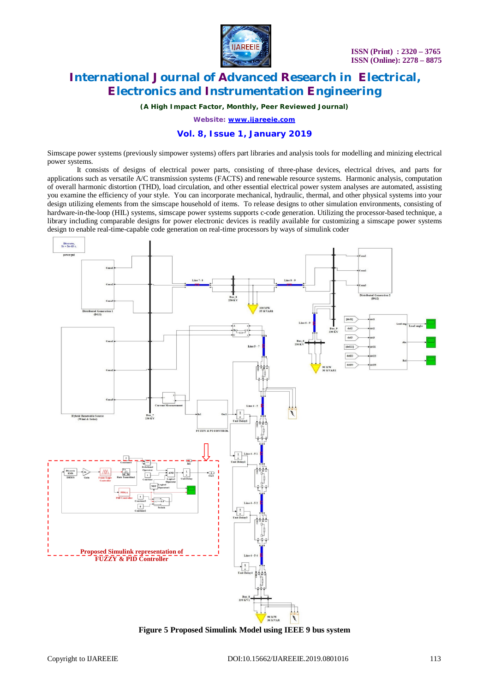

*(A High Impact Factor, Monthly, Peer Reviewed Journal)*

*Website: [www.ijareeie.com](http://www.ijareeie.com)*

### **Vol. 8, Issue 1, January 2019**

Simscape power systems (previously simpower systems) offers part libraries and analysis tools for modelling and minizing electrical power systems.

It consists of designs of electrical power parts, consisting of three-phase devices, electrical drives, and parts for applications such as versatile A/C transmission systems (FACTS) and renewable resource systems. Harmonic analysis, computation of overall harmonic distortion (THD), load circulation, and other essential electrical power system analyses are automated, assisting you examine the efficiency of your style. You can incorporate mechanical, hydraulic, thermal, and other physical systems into your design utilizing elements from the simscape household of items. To release designs to other simulation environments, consisting of hardware-in-the-loop (HIL) systems, simscape power systems supports c-code generation. Utilizing the processor-based technique, a library including comparable designs for power electronic devices is readily available for customizing a simscape power systems design to enable real-time-capable code generation on real-time processors by ways of simulink coder



**Figure 5 Proposed Simulink Model using IEEE 9 bus system**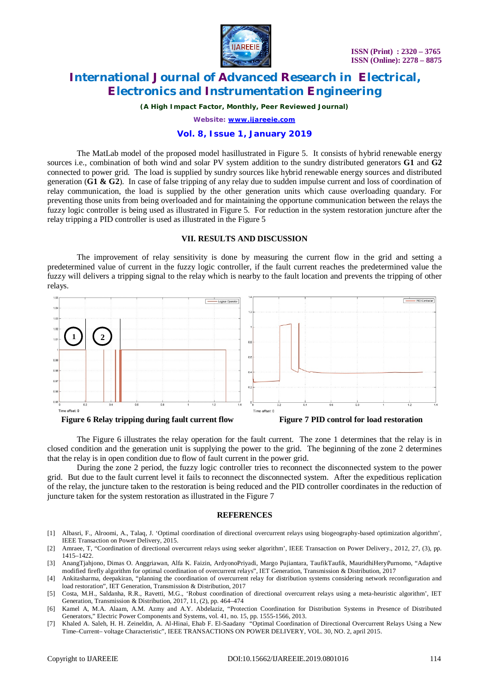

*(A High Impact Factor, Monthly, Peer Reviewed Journal)*

*Website: [www.ijareeie.com](http://www.ijareeie.com)*

### **Vol. 8, Issue 1, January 2019**

The MatLab model of the proposed model hasillustrated in Figure 5. It consists of hybrid renewable energy sources i.e., combination of both wind and solar PV system addition to the sundry distributed generators **G1** and **G2** connected to power grid. The load is supplied by sundry sources like hybrid renewable energy sources and distributed generation (**G1 & G2**). In case of false tripping of any relay due to sudden impulse current and loss of coordination of relay communication, the load is supplied by the other generation units which cause overloading quandary. For preventing those units from being overloaded and for maintaining the opportune communication between the relays the fuzzy logic controller is being used as illustrated in Figure 5. For reduction in the system restoration juncture after the relay tripping a PID controller is used as illustrated in the Figure 5

### **VII. RESULTS AND DISCUSSION**

The improvement of relay sensitivity is done by measuring the current flow in the grid and setting a predetermined value of current in the fuzzy logic controller, if the fault current reaches the predetermined value the fuzzy will delivers a tripping signal to the relay which is nearby to the fault location and prevents the tripping of other relays.



The Figure 6 illustrates the relay operation for the fault current. The zone 1 determines that the relay is in closed condition and the generation unit is supplying the power to the grid. The beginning of the zone 2 determines that the relay is in open condition due to flow of fault current in the power grid.

During the zone 2 period, the fuzzy logic controller tries to reconnect the disconnected system to the power grid. But due to the fault current level it fails to reconnect the disconnected system. After the expeditious replication of the relay, the juncture taken to the restoration is being reduced and the PID controller coordinates in the reduction of juncture taken for the system restoration as illustrated in the Figure 7

#### **REFERENCES**

- [1] Albasri, F., Alroomi, A., Talaq, J. 'Optimal coordination of directional overcurrent relays using biogeography-based optimization algorithm', IEEE Transaction on Power Delivery, 2015.
- [2] Amraee, T, "Coordination of directional overcurrent relays using seeker algorithm', IEEE Transaction on Power Delivery., 2012, 27, (3), pp. 1415–1422.
- [3] AnangTjahjono, Dimas O. Anggriawan, Alfa K. Faizin, ArdyonoPriyadi, Margo Pujiantara, TaufikTaufik, MauridhiHeryPurnomo, "Adaptive modified firefly algorithm for optimal coordination of overcurrent relays", IET Generation, Transmission & Distribution, 2017
- [4] Ankitasharma, deepakiran, "planning the coordination of overcurrent relay for distribution systems considering network reconfiguration and load restoration", IET Generation, Transmission & Distribution, 2017
- [5] Costa, M.H., Saldanha, R.R., Ravetti, M.G., 'Robust coordination of directional overcurrent relays using a meta-heuristic algorithm', IET Generation, Transmission & Distribution, 2017, 11, (2), pp. 464–474
- [6] Kamel A, M.A. Alaam, A.M. Azmy and A.Y. Abdelaziz, "Protection Coordination for Distribution Systems in Presence of Distributed Generators," Electric Power Components and Systems, vol. 41, no. 15, pp. 1555-1566, 2013.
- [7] Khaled A. Saleh, H. H. Zeineldin, A. Al-Hinai, Ehab F. El-Saadany "Optimal Coordination of Directional Overcurrent Relays Using a New Time–Current– voltage Characteristic", IEEE TRANSACTIONS ON POWER DELIVERY, VOL. 30, NO. 2, april 2015.